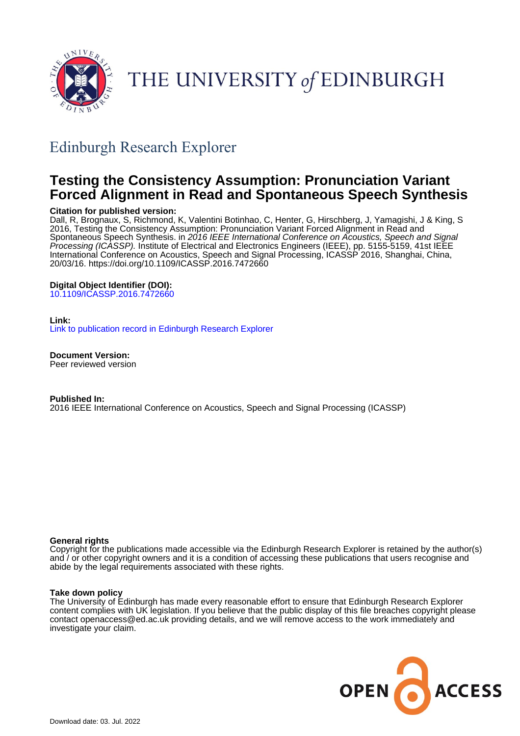

# THE UNIVERSITY of EDINBURGH

## Edinburgh Research Explorer

## **Testing the Consistency Assumption: Pronunciation Variant Forced Alignment in Read and Spontaneous Speech Synthesis**

## **Citation for published version:**

Dall, R, Brognaux, S, Richmond, K, Valentini Botinhao, C, Henter, G, Hirschberg, J, Yamagishi, J & King, S 2016, Testing the Consistency Assumption: Pronunciation Variant Forced Alignment in Read and Spontaneous Speech Synthesis. in 2016 IEEE International Conference on Acoustics, Speech and Signal Processing (ICASSP). Institute of Electrical and Electronics Engineers (IEEE), pp. 5155-5159, 41st IEEE International Conference on Acoustics, Speech and Signal Processing, ICASSP 2016, Shanghai, China, 20/03/16.<https://doi.org/10.1109/ICASSP.2016.7472660>

## **Digital Object Identifier (DOI):**

[10.1109/ICASSP.2016.7472660](https://doi.org/10.1109/ICASSP.2016.7472660)

### **Link:**

[Link to publication record in Edinburgh Research Explorer](https://www.research.ed.ac.uk/en/publications/f9fb25b6-9e29-4930-8f0d-a6e60cb42dd5)

**Document Version:** Peer reviewed version

**Published In:** 2016 IEEE International Conference on Acoustics, Speech and Signal Processing (ICASSP)

### **General rights**

Copyright for the publications made accessible via the Edinburgh Research Explorer is retained by the author(s) and / or other copyright owners and it is a condition of accessing these publications that users recognise and abide by the legal requirements associated with these rights.

#### **Take down policy**

The University of Edinburgh has made every reasonable effort to ensure that Edinburgh Research Explorer content complies with UK legislation. If you believe that the public display of this file breaches copyright please contact openaccess@ed.ac.uk providing details, and we will remove access to the work immediately and investigate your claim.

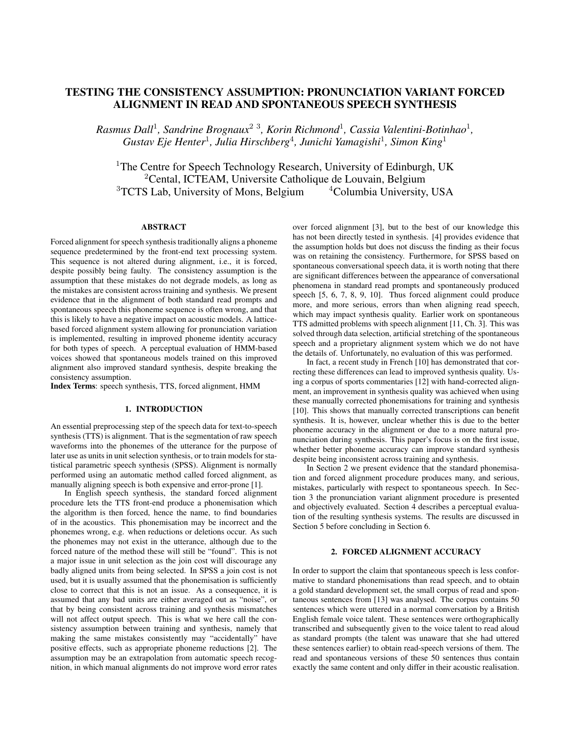## TESTING THE CONSISTENCY ASSUMPTION: PRONUNCIATION VARIANT FORCED ALIGNMENT IN READ AND SPONTANEOUS SPEECH SYNTHESIS

*Rasmus Dall*<sup>1</sup>*, Sandrine Brognaux*2 3*, Korin Richmond*<sup>1</sup>*, Cassia Valentini-Botinhao*<sup>1</sup>*, Gustav Eje Henter*<sup>1</sup>*, Julia Hirschberg*<sup>4</sup>*, Junichi Yamagishi*<sup>1</sup>*, Simon King*<sup>1</sup>

<sup>1</sup>The Centre for Speech Technology Research, University of Edinburgh, UK <sup>2</sup>Cental, ICTEAM, Universite Catholique de Louvain, Belgium S Lab, University of Mons, Belgium  $4$ Columbia University, USA <sup>3</sup>TCTS Lab, University of Mons, Belgium

#### ABSTRACT

Forced alignment for speech synthesis traditionally aligns a phoneme sequence predetermined by the front-end text processing system. This sequence is not altered during alignment, i.e., it is forced, despite possibly being faulty. The consistency assumption is the assumption that these mistakes do not degrade models, as long as the mistakes are consistent across training and synthesis. We present evidence that in the alignment of both standard read prompts and spontaneous speech this phoneme sequence is often wrong, and that this is likely to have a negative impact on acoustic models. A latticebased forced alignment system allowing for pronunciation variation is implemented, resulting in improved phoneme identity accuracy for both types of speech. A perceptual evaluation of HMM-based voices showed that spontaneous models trained on this improved alignment also improved standard synthesis, despite breaking the consistency assumption.

Index Terms: speech synthesis, TTS, forced alignment, HMM

#### 1. INTRODUCTION

An essential preprocessing step of the speech data for text-to-speech synthesis (TTS) is alignment. That is the segmentation of raw speech waveforms into the phonemes of the utterance for the purpose of later use as units in unit selection synthesis, or to train models for statistical parametric speech synthesis (SPSS). Alignment is normally performed using an automatic method called forced alignment, as manually aligning speech is both expensive and error-prone [1].

In English speech synthesis, the standard forced alignment procedure lets the TTS front-end produce a phonemisation which the algorithm is then forced, hence the name, to find boundaries of in the acoustics. This phonemisation may be incorrect and the phonemes wrong, e.g. when reductions or deletions occur. As such the phonemes may not exist in the utterance, although due to the forced nature of the method these will still be "found". This is not a major issue in unit selection as the join cost will discourage any badly aligned units from being selected. In SPSS a join cost is not used, but it is usually assumed that the phonemisation is sufficiently close to correct that this is not an issue. As a consequence, it is assumed that any bad units are either averaged out as "noise", or that by being consistent across training and synthesis mismatches will not affect output speech. This is what we here call the consistency assumption between training and synthesis, namely that making the same mistakes consistently may "accidentally" have positive effects, such as appropriate phoneme reductions [2]. The assumption may be an extrapolation from automatic speech recognition, in which manual alignments do not improve word error rates

over forced alignment [3], but to the best of our knowledge this has not been directly tested in synthesis. [4] provides evidence that the assumption holds but does not discuss the finding as their focus was on retaining the consistency. Furthermore, for SPSS based on spontaneous conversational speech data, it is worth noting that there are significant differences between the appearance of conversational phenomena in standard read prompts and spontaneously produced speech [5, 6, 7, 8, 9, 10]. Thus forced alignment could produce more, and more serious, errors than when aligning read speech, which may impact synthesis quality. Earlier work on spontaneous TTS admitted problems with speech alignment [11, Ch. 3]. This was solved through data selection, artificial stretching of the spontaneous speech and a proprietary alignment system which we do not have the details of. Unfortunately, no evaluation of this was performed.

In fact, a recent study in French [10] has demonstrated that correcting these differences can lead to improved synthesis quality. Using a corpus of sports commentaries [12] with hand-corrected alignment, an improvement in synthesis quality was achieved when using these manually corrected phonemisations for training and synthesis [10]. This shows that manually corrected transcriptions can benefit synthesis. It is, however, unclear whether this is due to the better phoneme accuracy in the alignment or due to a more natural pronunciation during synthesis. This paper's focus is on the first issue, whether better phoneme accuracy can improve standard synthesis despite being inconsistent across training and synthesis.

In Section 2 we present evidence that the standard phonemisation and forced alignment procedure produces many, and serious, mistakes, particularly with respect to spontaneous speech. In Section 3 the pronunciation variant alignment procedure is presented and objectively evaluated. Section 4 describes a perceptual evaluation of the resulting synthesis systems. The results are discussed in Section 5 before concluding in Section 6.

#### 2. FORCED ALIGNMENT ACCURACY

In order to support the claim that spontaneous speech is less conformative to standard phonemisations than read speech, and to obtain a gold standard development set, the small corpus of read and spontaneous sentences from [13] was analysed. The corpus contains 50 sentences which were uttered in a normal conversation by a British English female voice talent. These sentences were orthographically transcribed and subsequently given to the voice talent to read aloud as standard prompts (the talent was unaware that she had uttered these sentences earlier) to obtain read-speech versions of them. The read and spontaneous versions of these 50 sentences thus contain exactly the same content and only differ in their acoustic realisation.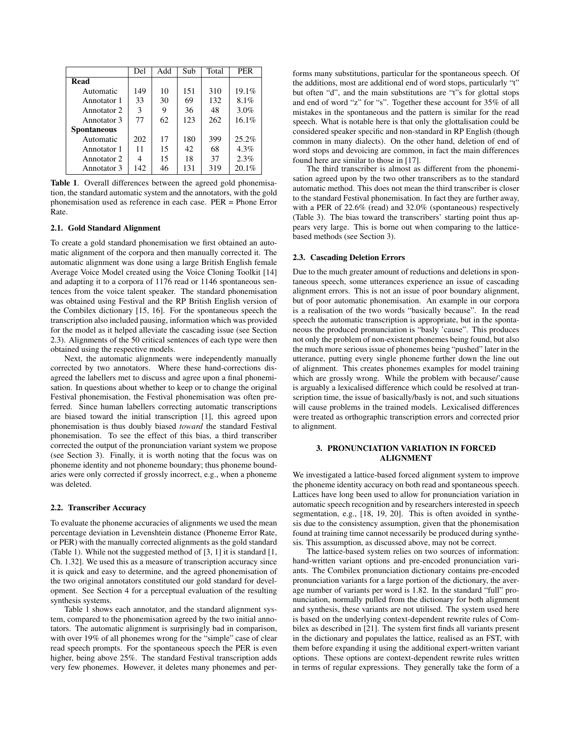|                    | Del | Add | Sub | Total | <b>PER</b> |
|--------------------|-----|-----|-----|-------|------------|
| Read               |     |     |     |       |            |
| Automatic          | 149 | 10  | 151 | 310   | 19.1%      |
| Annotator 1        | 33  | 30  | 69  | 132   | 8.1%       |
| Annotator 2        | 3   | 9   | 36  | 48    | 3.0%       |
| Annotator 3        | 77  | 62  | 123 | 262   | 16.1%      |
| <b>Spontaneous</b> |     |     |     |       |            |
| Automatic          | 202 | 17  | 180 | 399   | 25.2%      |
| Annotator 1        | 11  | 15  | 42  | 68    | 4.3%       |
| Annotator 2        | 4   | 15  | 18  | 37    | 2.3%       |
| Annotator 3        | 142 | 46  | 131 | 319   | 20.1%      |

Table 1. Overall differences between the agreed gold phonemisation, the standard automatic system and the annotators, with the gold phonemisation used as reference in each case. PER = Phone Error Rate.

#### 2.1. Gold Standard Alignment

To create a gold standard phonemisation we first obtained an automatic alignment of the corpora and then manually corrected it. The automatic alignment was done using a large British English female Average Voice Model created using the Voice Cloning Toolkit [14] and adapting it to a corpora of 1176 read or 1146 spontaneous sentences from the voice talent speaker. The standard phonemisation was obtained using Festival and the RP British English version of the Combilex dictionary [15, 16]. For the spontaneous speech the transcription also included pausing, information which was provided for the model as it helped alleviate the cascading issue (see Section 2.3). Alignments of the 50 critical sentences of each type were then obtained using the respective models.

Next, the automatic alignments were independently manually corrected by two annotators. Where these hand-corrections disagreed the labellers met to discuss and agree upon a final phonemisation. In questions about whether to keep or to change the original Festival phonemisation, the Festival phonemisation was often preferred. Since human labellers correcting automatic transcriptions are biased toward the initial transcription [1], this agreed upon phonemisation is thus doubly biased *toward* the standard Festival phonemisation. To see the effect of this bias, a third transcriber corrected the output of the pronunciation variant system we propose (see Section 3). Finally, it is worth noting that the focus was on phoneme identity and not phoneme boundary; thus phoneme boundaries were only corrected if grossly incorrect, e.g., when a phoneme was deleted.

#### 2.2. Transcriber Accuracy

To evaluate the phoneme accuracies of alignments we used the mean percentage deviation in Levenshtein distance (Phoneme Error Rate, or PER) with the manually corrected alignments as the gold standard (Table 1). While not the suggested method of [3, 1] it is standard [1, Ch. 1.32]. We used this as a measure of transcription accuracy since it is quick and easy to determine, and the agreed phonemisation of the two original annotators constituted our gold standard for development. See Section 4 for a perceptual evaluation of the resulting synthesis systems.

Table 1 shows each annotator, and the standard alignment system, compared to the phonemisation agreed by the two initial annotators. The automatic alignment is surprisingly bad in comparison, with over 19% of all phonemes wrong for the "simple" case of clear read speech prompts. For the spontaneous speech the PER is even higher, being above 25%. The standard Festival transcription adds very few phonemes. However, it deletes many phonemes and performs many substitutions, particular for the spontaneous speech. Of the additions, most are additional end of word stops, particularly "t" but often "d", and the main substitutions are "t"s for glottal stops and end of word "z" for "s". Together these account for 35% of all mistakes in the spontaneous and the pattern is similar for the read speech. What is notable here is that only the glottalisation could be considered speaker specific and non-standard in RP English (though common in many dialects). On the other hand, deletion of end of word stops and devoicing are common, in fact the main differences found here are similar to those in [17].

The third transcriber is almost as different from the phonemisation agreed upon by the two other transcribers as to the standard automatic method. This does not mean the third transcriber is closer to the standard Festival phonemisation. In fact they are further away, with a PER of 22.6% (read) and 32.0% (spontaneous) respectively (Table 3). The bias toward the transcribers' starting point thus appears very large. This is borne out when comparing to the latticebased methods (see Section 3).

#### 2.3. Cascading Deletion Errors

Due to the much greater amount of reductions and deletions in spontaneous speech, some utterances experience an issue of cascading alignment errors. This is not an issue of poor boundary alignment, but of poor automatic phonemisation. An example in our corpora is a realisation of the two words "basically because". In the read speech the automatic transcription is appropriate, but in the spontaneous the produced pronunciation is "basly 'cause". This produces not only the problem of non-existent phonemes being found, but also the much more serious issue of phonemes being "pushed" later in the utterance, putting every single phoneme further down the line out of alignment. This creates phonemes examples for model training which are grossly wrong. While the problem with because/'cause is arguably a lexicalised difference which could be resolved at transcription time, the issue of basically/basly is not, and such situations will cause problems in the trained models. Lexicalised differences were treated as orthographic transcription errors and corrected prior to alignment.

#### 3. PRONUNCIATION VARIATION IN FORCED ALIGNMENT

We investigated a lattice-based forced alignment system to improve the phoneme identity accuracy on both read and spontaneous speech. Lattices have long been used to allow for pronunciation variation in automatic speech recognition and by researchers interested in speech segmentation, e.g., [18, 19, 20]. This is often avoided in synthesis due to the consistency assumption, given that the phonemisation found at training time cannot necessarily be produced during synthesis. This assumption, as discussed above, may not be correct.

The lattice-based system relies on two sources of information: hand-written variant options and pre-encoded pronunciation variants. The Combilex pronunciation dictionary contains pre-encoded pronunciation variants for a large portion of the dictionary, the average number of variants per word is 1.82. In the standard "full" pronunciation, normally pulled from the dictionary for both alignment and synthesis, these variants are not utilised. The system used here is based on the underlying context-dependent rewrite rules of Combilex as described in [21]. The system first finds all variants present in the dictionary and populates the lattice, realised as an FST, with them before expanding it using the additional expert-written variant options. These options are context-dependent rewrite rules written in terms of regular expressions. They generally take the form of a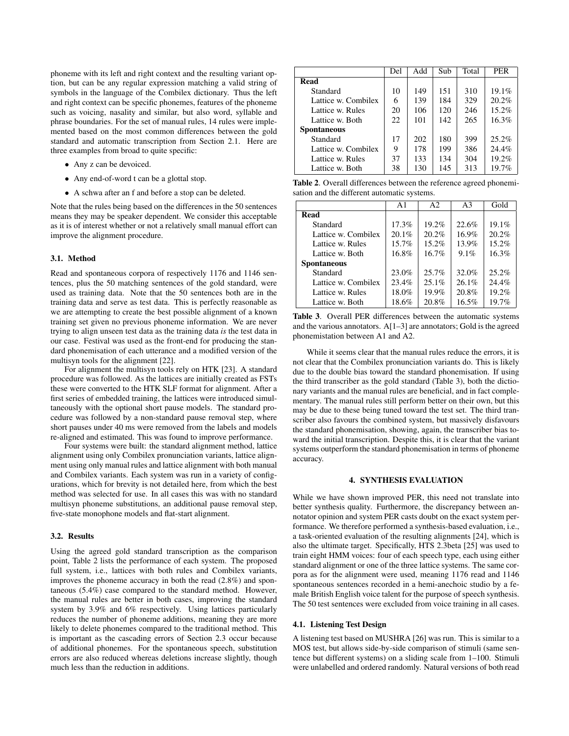phoneme with its left and right context and the resulting variant option, but can be any regular expression matching a valid string of symbols in the language of the Combilex dictionary. Thus the left and right context can be specific phonemes, features of the phoneme such as voicing, nasality and similar, but also word, syllable and phrase boundaries. For the set of manual rules, 14 rules were implemented based on the most common differences between the gold standard and automatic transcription from Section 2.1. Here are three examples from broad to quite specific:

- *•* Any z can be devoiced.
- *•* Any end-of-word t can be a glottal stop.
- *•* A schwa after an f and before a stop can be deleted.

Note that the rules being based on the differences in the 50 sentences means they may be speaker dependent. We consider this acceptable as it is of interest whether or not a relatively small manual effort can improve the alignment procedure.

#### 3.1. Method

Read and spontaneous corpora of respectively 1176 and 1146 sentences, plus the 50 matching sentences of the gold standard, were used as training data. Note that the 50 sentences both are in the training data and serve as test data. This is perfectly reasonable as we are attempting to create the best possible alignment of a known training set given no previous phoneme information. We are never trying to align unseen test data as the training data *is* the test data in our case. Festival was used as the front-end for producing the standard phonemisation of each utterance and a modified version of the multisyn tools for the alignment [22].

For alignment the multisyn tools rely on HTK [23]. A standard procedure was followed. As the lattices are initially created as FSTs these were converted to the HTK SLF format for alignment. After a first series of embedded training, the lattices were introduced simultaneously with the optional short pause models. The standard procedure was followed by a non-standard pause removal step, where short pauses under 40 ms were removed from the labels and models re-aligned and estimated. This was found to improve performance.

Four systems were built: the standard alignment method, lattice alignment using only Combilex pronunciation variants, lattice alignment using only manual rules and lattice alignment with both manual and Combilex variants. Each system was run in a variety of configurations, which for brevity is not detailed here, from which the best method was selected for use. In all cases this was with no standard multisyn phoneme substitutions, an additional pause removal step, five-state monophone models and flat-start alignment.

#### 3.2. Results

Using the agreed gold standard transcription as the comparison point, Table 2 lists the performance of each system. The proposed full system, i.e., lattices with both rules and Combilex variants, improves the phoneme accuracy in both the read (2.8%) and spontaneous (5.4%) case compared to the standard method. However, the manual rules are better in both cases, improving the standard system by 3.9% and 6% respectively. Using lattices particularly reduces the number of phoneme additions, meaning they are more likely to delete phonemes compared to the traditional method. This is important as the cascading errors of Section 2.3 occur because of additional phonemes. For the spontaneous speech, substitution errors are also reduced whereas deletions increase slightly, though much less than the reduction in additions.

|                     | Del | Add | Sub | Total | <b>PER</b> |
|---------------------|-----|-----|-----|-------|------------|
| Read                |     |     |     |       |            |
| Standard            | 10  | 149 | 151 | 310   | 19.1%      |
| Lattice w. Combilex | 6   | 139 | 184 | 329   | 20.2%      |
| Lattice w. Rules    | 20  | 106 | 120 | 246   | 15.2%      |
| Lattice w. Both     | 22  | 101 | 142 | 265   | 16.3%      |
| <b>Spontaneous</b>  |     |     |     |       |            |
| Standard            | 17  | 202 | 180 | 399   | 25.2%      |
| Lattice w. Combilex | 9   | 178 | 199 | 386   | 24.4%      |
| Lattice w. Rules    | 37  | 133 | 134 | 304   | 19.2%      |
| Lattice w. Both     | 38  | 130 | 145 | 313   | 19.7%      |

Table 2. Overall differences between the reference agreed phonemisation and the different automatic systems.

|                     | A <sub>1</sub> | A <sub>2</sub> | A <sub>3</sub> | Gold  |
|---------------------|----------------|----------------|----------------|-------|
| Read                |                |                |                |       |
| Standard            | 17.3%          | 19.2%          | 22.6%          | 19.1% |
| Lattice w. Combilex | 20.1%          | 20.2%          | 16.9%          | 20.2% |
| Lattice w. Rules    | 15.7%          | $15.2\%$       | 13.9%          | 15.2% |
| Lattice w. Both     | 16.8%          | 16.7%          | 9.1%           | 16.3% |
| <b>Spontaneous</b>  |                |                |                |       |
| Standard            | 23.0%          | 25.7%          | 32.0%          | 25.2% |
| Lattice w. Combilex | 23.4%          | 25.1%          | 26.1%          | 24.4% |
| Lattice w. Rules    | 18.0%          | 19.9%          | 20.8%          | 19.2% |
| Lattice w. Both     | 18.6%          | 20.8%          | 16.5%          | 19.7% |

Table 3. Overall PER differences between the automatic systems and the various annotators. A[1–3] are annotators; Gold is the agreed phonemistation between A1 and A2.

While it seems clear that the manual rules reduce the errors, it is not clear that the Combilex pronunciation variants do. This is likely due to the double bias toward the standard phonemisation. If using the third transcriber as the gold standard (Table 3), both the dictionary variants and the manual rules are beneficial, and in fact complementary. The manual rules still perform better on their own, but this may be due to these being tuned toward the test set. The third transcriber also favours the combined system, but massively disfavours the standard phonemisation, showing, again, the transcriber bias toward the initial transcription. Despite this, it is clear that the variant systems outperform the standard phonemisation in terms of phoneme accuracy.

#### 4. SYNTHESIS EVALUATION

While we have shown improved PER, this need not translate into better synthesis quality. Furthermore, the discrepancy between annotator opinion and system PER casts doubt on the exact system performance. We therefore performed a synthesis-based evaluation, i.e., a task-oriented evaluation of the resulting alignments [24], which is also the ultimate target. Specifically, HTS 2.3beta [25] was used to train eight HMM voices: four of each speech type, each using either standard alignment or one of the three lattice systems. The same corpora as for the alignment were used, meaning 1176 read and 1146 spontaneous sentences recorded in a hemi-anechoic studio by a female British English voice talent for the purpose of speech synthesis. The 50 test sentences were excluded from voice training in all cases.

#### 4.1. Listening Test Design

A listening test based on MUSHRA [26] was run. This is similar to a MOS test, but allows side-by-side comparison of stimuli (same sentence but different systems) on a sliding scale from 1–100. Stimuli were unlabelled and ordered randomly. Natural versions of both read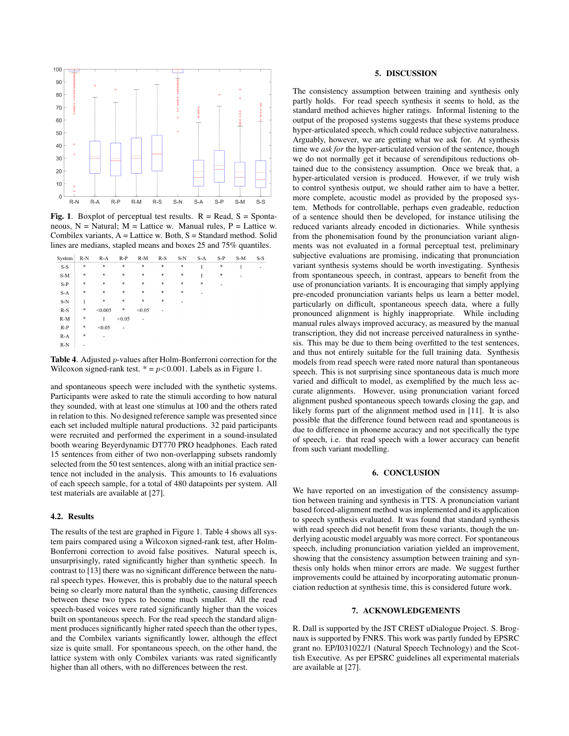

Fig. 1. Boxplot of perceptual test results.  $R = Read$ ,  $S = Sponta$ neous,  $N =$  Natural;  $M =$  Lattice w. Manual rules,  $P =$  Lattice w. Combilex variants, A = Lattice w. Both, S = Standard method. Solid lines are medians, stapled means and boxes 25 and 75% quantiles.

| System                         | $R-N$         | $R-A$                             | $R-P$                             | $R-M$                             | $R-S$                             | $S-N$ | $S-A$  | $S-P$ | $S-M$ | $S-S$ |
|--------------------------------|---------------|-----------------------------------|-----------------------------------|-----------------------------------|-----------------------------------|-------|--------|-------|-------|-------|
| $\mathbf{S}\text{-}\mathbf{S}$ | *             | $\ast$                            | $\ast$                            | $\ast$                            | $\ast$                            | *     | 1      | *     | 1     | ٠     |
| $S-M$                          | *             | $\ast$                            | $\ast$                            | $\ast$                            | $\ast$                            | *     | 1      | *     | ٠     |       |
| $S-P$                          | $\ast$        | $\ast$                            | $\ast$                            | $\ast$                            | $\ast$                            | *     | $\ast$ | ۰     |       |       |
| $S-A$                          | ×             | $\frac{d\mathbf{r}}{d\mathbf{r}}$ | $\frac{d\mathbf{r}}{d\mathbf{r}}$ | $\frac{d\mathbf{r}}{d\mathbf{r}}$ | $\frac{d\mathbf{r}}{d\mathbf{r}}$ | \$    | ۰      |       |       |       |
| $S-N$                          | 1             | $\frac{1}{2}$                     | $\frac{1}{2}$                     | $\ast$                            | $\frac{d\mathbf{r}}{d\mathbf{r}}$ | ٠     |        |       |       |       |
| $R-S$                          | *             | < 0.005                           | $\ast$                            | < 0.05                            | ٠                                 |       |        |       |       |       |
| $R-M$                          | *             | 1                                 | < 0.05                            | $\blacksquare$                    |                                   |       |        |       |       |       |
| $R-P$                          | *             | < 0.05                            | $\overline{\phantom{a}}$          |                                   |                                   |       |        |       |       |       |
| $R-A$                          | $\frac{1}{2}$ | ٠                                 |                                   |                                   |                                   |       |        |       |       |       |
| $R-N$                          | ٠             |                                   |                                   |                                   |                                   |       |        |       |       |       |

Table 4. Adjusted *p*-values after Holm-Bonferroni correction for the Wilcoxon signed-rank test.  $* = p < 0.001$ . Labels as in Figure 1.

and spontaneous speech were included with the synthetic systems. Participants were asked to rate the stimuli according to how natural they sounded, with at least one stimulus at 100 and the others rated in relation to this. No designed reference sample was presented since each set included multiple natural productions. 32 paid participants were recruited and performed the experiment in a sound-insulated booth wearing Beyerdynamic DT770 PRO headphones. Each rated 15 sentences from either of two non-overlapping subsets randomly selected from the 50 test sentences, along with an initial practice sentence not included in the analysis. This amounts to 16 evaluations of each speech sample, for a total of 480 datapoints per system. All test materials are available at [27].

#### 4.2. Results

The results of the test are graphed in Figure 1. Table 4 shows all system pairs compared using a Wilcoxon signed-rank test, after Holm-Bonferroni correction to avoid false positives. Natural speech is, unsurprisingly, rated significantly higher than synthetic speech. In contrast to [13] there was no significant difference between the natural speech types. However, this is probably due to the natural speech being so clearly more natural than the synthetic, causing differences between these two types to become much smaller. All the read speech-based voices were rated significantly higher than the voices built on spontaneous speech. For the read speech the standard alignment produces significantly higher rated speech than the other types, and the Combilex variants significantly lower, although the effect size is quite small. For spontaneous speech, on the other hand, the lattice system with only Combilex variants was rated significantly higher than all others, with no differences between the rest.

#### 5. DISCUSSION

The consistency assumption between training and synthesis only partly holds. For read speech synthesis it seems to hold, as the standard method achieves higher ratings. Informal listening to the output of the proposed systems suggests that these systems produce hyper-articulated speech, which could reduce subjective naturalness. Arguably, however, we are getting what we ask for. At synthesis time we *ask for* the hyper-articulated version of the sentence, though we do not normally get it because of serendipitous reductions obtained due to the consistency assumption. Once we break that, a hyper-articulated version is produced. However, if we truly wish to control synthesis output, we should rather aim to have a better, more complete, acoustic model as provided by the proposed system. Methods for controllable, perhaps even gradeable, reduction of a sentence should then be developed, for instance utilising the reduced variants already encoded in dictionaries. While synthesis from the phonemisation found by the pronunciation variant alignments was not evaluated in a formal perceptual test, preliminary subjective evaluations are promising, indicating that pronunciation variant synthesis systems should be worth investigating. Synthesis from spontaneous speech, in contrast, appears to benefit from the use of pronunciation variants. It is encouraging that simply applying pre-encoded pronunciation variants helps us learn a better model, particularly on difficult, spontaneous speech data, where a fully pronounced alignment is highly inappropriate. While including manual rules always improved accuracy, as measured by the manual transcription, they did not increase perceived naturalness in synthesis. This may be due to them being overfitted to the test sentences, and thus not entirely suitable for the full training data. Synthesis models from read speech were rated more natural than spontaneous speech. This is not surprising since spontaneous data is much more varied and difficult to model, as exemplified by the much less accurate alignments. However, using pronunciation variant forced alignment pushed spontaneous speech towards closing the gap, and likely forms part of the alignment method used in [11]. It is also possible that the difference found between read and spontaneous is due to difference in phoneme accuracy and not specifically the type of speech, i.e. that read speech with a lower accuracy can benefit from such variant modelling.

#### 6. CONCLUSION

We have reported on an investigation of the consistency assumption between training and synthesis in TTS. A pronunciation variant based forced-alignment method was implemented and its application to speech synthesis evaluated. It was found that standard synthesis with read speech did not benefit from these variants, though the underlying acoustic model arguably was more correct. For spontaneous speech, including pronunciation variation yielded an improvement, showing that the consistency assumption between training and synthesis only holds when minor errors are made. We suggest further improvements could be attained by incorporating automatic pronunciation reduction at synthesis time, this is considered future work.

#### 7. ACKNOWLEDGEMENTS

R. Dall is supported by the JST CREST uDialogue Project. S. Brognaux is supported by FNRS. This work was partly funded by EPSRC grant no. EP/I031022/1 (Natural Speech Technology) and the Scottish Executive. As per EPSRC guidelines all experimental materials are available at [27].